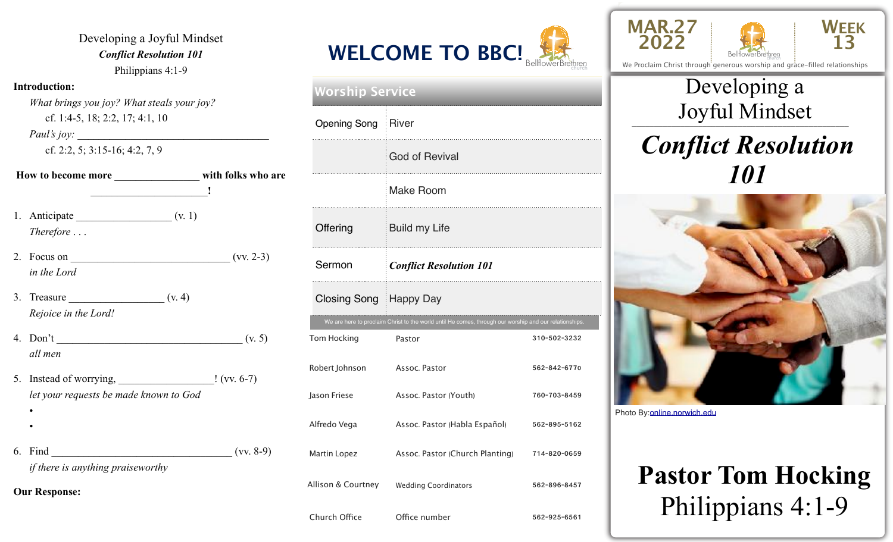Developing a Joyful Mindset *Conflict Resolution 101*  Philippians 4:1-9

#### **Introduction:**

 *What brings you joy? What steals your joy?* cf. 1:4-5, 18; 2:2, 17; 4:1, 10

*Paul's joy:* 

cf. 2:2, 5; 3:15-16; 4:2, 7, 9

- **How to become more** \_\_\_\_\_\_\_\_\_\_\_\_\_\_\_\_ **with folks who are**  \_\_\_\_\_\_\_\_\_\_\_\_\_\_\_\_\_\_\_\_\_\_**!** 1. Anticipate  $(v, 1)$ *Therefore* . . .
- 2. Focus on  $($ vv. 2-3) *in the Lord*
- 3. Treasure  $($ v. 4) *Rejoice in the Lord!*
- 4. Don't  $(v, 5)$ *all men*
- 5. Instead of worrying, \_\_\_\_\_\_\_\_\_\_\_\_\_\_\_\_\_\_! (vv. 6-7) *let your requests be made known to God*
- •
- 6. Find  $(vv. 8-9)$ *if there is anything praiseworthy*

**Our Response:** 



| <b>Worship Service</b>                         |               |                                                                                                        |              |  |
|------------------------------------------------|---------------|--------------------------------------------------------------------------------------------------------|--------------|--|
|                                                |               | Opening Song   River                                                                                   |              |  |
|                                                |               | <b>God of Revival</b>                                                                                  |              |  |
|                                                |               | <b>Make Room</b>                                                                                       |              |  |
|                                                | Offering      | <b>Build my Life</b>                                                                                   |              |  |
| Sermon<br>Closing Song   Happy Day             |               | <b>Conflict Resolution 101</b>                                                                         |              |  |
|                                                |               |                                                                                                        |              |  |
|                                                |               | We are here to proclaim Christ to the world until He comes, through our worship and our relationships. |              |  |
|                                                | Tom Hocking   | Pastor                                                                                                 | 310-502-3232 |  |
| Robert Johnson<br>Jason Friese<br>Alfredo Vega |               | Assoc. Pastor                                                                                          | 562-842-6770 |  |
|                                                |               | Assoc. Pastor (Youth)                                                                                  | 760-703-8459 |  |
|                                                |               | Assoc. Pastor (Habla Español)                                                                          | 562-895-5162 |  |
|                                                | Martin Lopez  | Assoc. Pastor (Church Planting)                                                                        | 714-820-0659 |  |
| Allison & Courtney                             |               | <b>Wedding Coordinators</b>                                                                            | 562-896-8457 |  |
|                                                | Church Office | Office number l                                                                                        | 562-925-6561 |  |





We Proclaim Christ through generous worship and grace-filled relationships

### \_\_\_\_\_\_\_\_\_\_\_\_\_\_\_\_\_\_\_\_\_\_\_\_\_\_\_\_\_\_\_\_\_\_\_\_\_\_\_\_\_\_\_\_\_\_\_\_\_ Joyful Mindset Developing a

### *Conflict Resolution 101*



Photo By: [online.norwich.edu](http://online.norwich.edu)

# **Pastor Tom Hocking**  Philippians 4:1-9